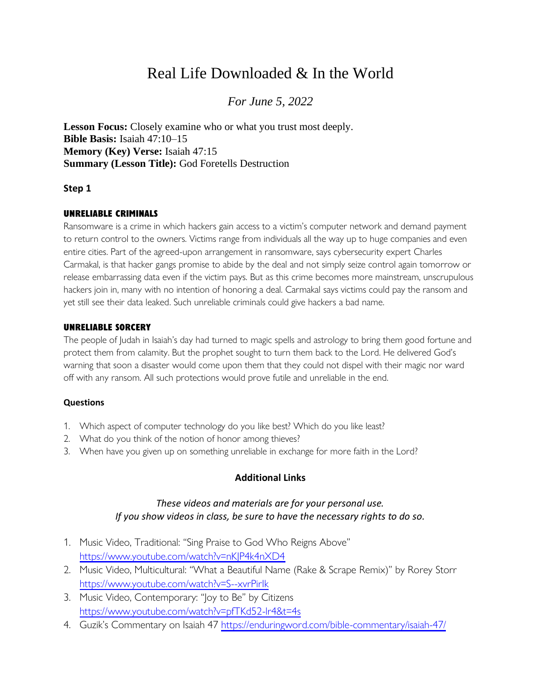# Real Life Downloaded & In the World

# *For June 5, 2022*

**Lesson Focus:** Closely examine who or what you trust most deeply. **Bible Basis:** Isaiah 47:10–15 **Memory (Key) Verse:** Isaiah 47:15 **Summary (Lesson Title):** God Foretells Destruction

#### **Step 1**

#### UNRELIABLE CRIMINALS

Ransomware is a crime in which hackers gain access to a victim's computer network and demand payment to return control to the owners. Victims range from individuals all the way up to huge companies and even entire cities. Part of the agreed-upon arrangement in ransomware, says cybersecurity expert Charles Carmakal, is that hacker gangs promise to abide by the deal and not simply seize control again tomorrow or release embarrassing data even if the victim pays. But as this crime becomes more mainstream, unscrupulous hackers join in, many with no intention of honoring a deal. Carmakal says victims could pay the ransom and yet still see their data leaked. Such unreliable criminals could give hackers a bad name.

#### UNRELIABLE SORCERY

The people of Judah in Isaiah's day had turned to magic spells and astrology to bring them good fortune and protect them from calamity. But the prophet sought to turn them back to the Lord. He delivered God's warning that soon a disaster would come upon them that they could not dispel with their magic nor ward off with any ransom. All such protections would prove futile and unreliable in the end.

#### **Questions**

- 1. Which aspect of computer technology do you like best? Which do you like least?
- 2. What do you think of the notion of honor among thieves?
- 3. When have you given up on something unreliable in exchange for more faith in the Lord?

#### **Additional Links**

### *These videos and materials are for your personal use. If you show videos in class, be sure to have the necessary rights to do so.*

- 1. Music Video, Traditional: "Sing Praise to God Who Reigns Above" <https://www.youtube.com/watch?v=nKJP4k4nXD4>
- 2. Music Video, Multicultural: "What a Beautiful Name (Rake & Scrape Remix)" by Rorey Storr <https://www.youtube.com/watch?v=S--xvrPirIk>
- 3. Music Video, Contemporary: "Joy to Be" by Citizens <https://www.youtube.com/watch?v=pfTKd52-lr4&t=4s>
- 4. Guzik's Commentary on Isaiah 47<https://enduringword.com/bible-commentary/isaiah-47/>